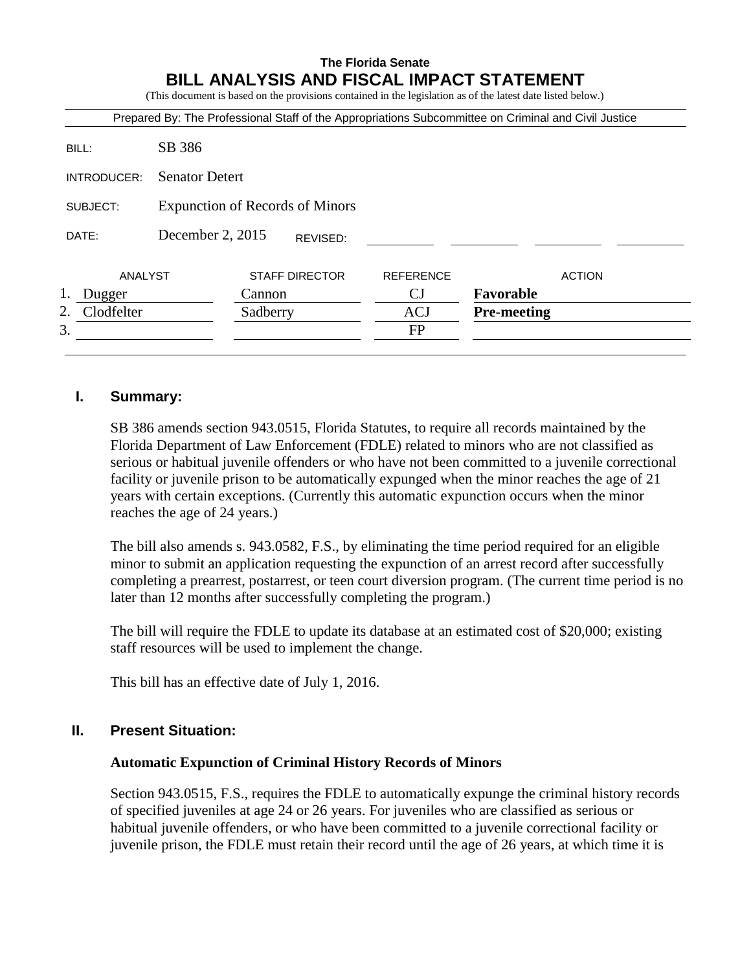# **The Florida Senate BILL ANALYSIS AND FISCAL IMPACT STATEMENT**

(This document is based on the provisions contained in the legislation as of the latest date listed below.)

|                  |                                        |          |                       |                  | Prepared By: The Professional Staff of the Appropriations Subcommittee on Criminal and Civil Justice |               |
|------------------|----------------------------------------|----------|-----------------------|------------------|------------------------------------------------------------------------------------------------------|---------------|
| BILL:            | SB 386                                 |          |                       |                  |                                                                                                      |               |
| INTRODUCER:      | <b>Senator Detert</b>                  |          |                       |                  |                                                                                                      |               |
| SUBJECT:         | <b>Expunction of Records of Minors</b> |          |                       |                  |                                                                                                      |               |
| DATE:            | December 2, 2015                       |          | REVISED:              |                  |                                                                                                      |               |
| ANALYST          |                                        |          | <b>STAFF DIRECTOR</b> | <b>REFERENCE</b> |                                                                                                      | <b>ACTION</b> |
| Dugger           |                                        | Cannon   |                       | CJ               | Favorable                                                                                            |               |
| Clodfelter<br>2. |                                        | Sadberry |                       | <b>ACJ</b>       | <b>Pre-meeting</b>                                                                                   |               |
| 3.               |                                        |          |                       | <b>FP</b>        |                                                                                                      |               |

### **I. Summary:**

SB 386 amends section 943.0515, Florida Statutes, to require all records maintained by the Florida Department of Law Enforcement (FDLE) related to minors who are not classified as serious or habitual juvenile offenders or who have not been committed to a juvenile correctional facility or juvenile prison to be automatically expunged when the minor reaches the age of 21 years with certain exceptions. (Currently this automatic expunction occurs when the minor reaches the age of 24 years.)

The bill also amends s. 943.0582, F.S., by eliminating the time period required for an eligible minor to submit an application requesting the expunction of an arrest record after successfully completing a prearrest, postarrest, or teen court diversion program. (The current time period is no later than 12 months after successfully completing the program.)

The bill will require the FDLE to update its database at an estimated cost of \$20,000; existing staff resources will be used to implement the change.

This bill has an effective date of July 1, 2016.

# **II. Present Situation:**

### **Automatic Expunction of Criminal History Records of Minors**

Section 943.0515, F.S., requires the FDLE to automatically expunge the criminal history records of specified juveniles at age 24 or 26 years. For juveniles who are classified as serious or habitual juvenile offenders, or who have been committed to a juvenile correctional facility or juvenile prison, the FDLE must retain their record until the age of 26 years, at which time it is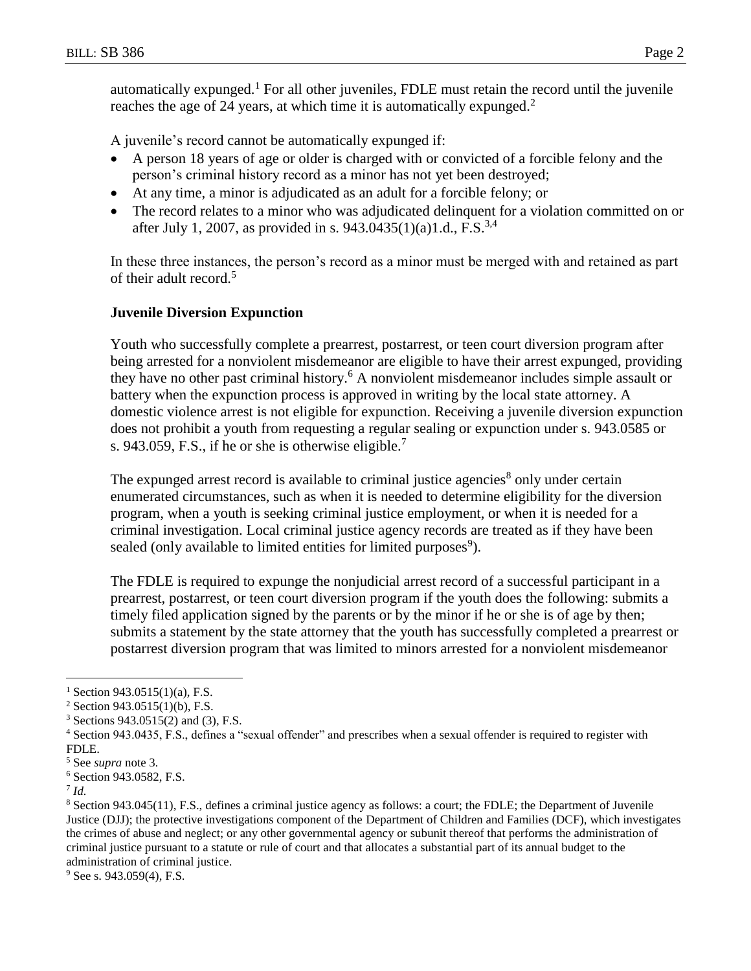automatically expunged.<sup>1</sup> For all other juveniles, FDLE must retain the record until the juvenile reaches the age of 24 years, at which time it is automatically expunged.<sup>2</sup>

A juvenile's record cannot be automatically expunged if:

- A person 18 years of age or older is charged with or convicted of a forcible felony and the person's criminal history record as a minor has not yet been destroyed;
- At any time, a minor is adjudicated as an adult for a forcible felony; or
- The record relates to a minor who was adjudicated delinquent for a violation committed on or after July 1, 2007, as provided in s. 943.0435(1)(a)1.d., F.S.<sup>3,4</sup>

In these three instances, the person's record as a minor must be merged with and retained as part of their adult record.<sup>5</sup>

## **Juvenile Diversion Expunction**

Youth who successfully complete a prearrest, postarrest, or teen court diversion program after being arrested for a nonviolent misdemeanor are eligible to have their arrest expunged, providing they have no other past criminal history.<sup>6</sup> A nonviolent misdemeanor includes simple assault or battery when the expunction process is approved in writing by the local state attorney. A domestic violence arrest is not eligible for expunction. Receiving a juvenile diversion expunction does not prohibit a youth from requesting a regular sealing or expunction under s. 943.0585 or s. 943.059, F.S., if he or she is otherwise eligible.<sup>7</sup>

The expunged arrest record is available to criminal justice agencies<sup>8</sup> only under certain enumerated circumstances, such as when it is needed to determine eligibility for the diversion program, when a youth is seeking criminal justice employment, or when it is needed for a criminal investigation. Local criminal justice agency records are treated as if they have been sealed (only available to limited entities for limited purposes<sup>9</sup>).

The FDLE is required to expunge the nonjudicial arrest record of a successful participant in a prearrest, postarrest, or teen court diversion program if the youth does the following: submits a timely filed application signed by the parents or by the minor if he or she is of age by then; submits a statement by the state attorney that the youth has successfully completed a prearrest or postarrest diversion program that was limited to minors arrested for a nonviolent misdemeanor

 $\overline{a}$ 

 $9$  See s. 943.059(4), F.S.

 $1$  Section 943.0515(1)(a), F.S.

 $2$  Section 943.0515(1)(b), F.S.

<sup>3</sup> Sections 943.0515(2) and (3), F.S.

<sup>4</sup> Section 943.0435, F.S., defines a "sexual offender" and prescribes when a sexual offender is required to register with FDLE.

<sup>5</sup> See *supra* note 3*.*

<sup>6</sup> Section 943.0582, F.S.

<sup>7</sup> *Id.*

<sup>8</sup> Section 943.045(11), F.S., defines a criminal justice agency as follows: a court; the FDLE; the Department of Juvenile Justice (DJJ); the protective investigations component of the Department of Children and Families (DCF), which investigates the crimes of abuse and neglect; or any other governmental agency or subunit thereof that performs the administration of criminal justice pursuant to a statute or rule of court and that allocates a substantial part of its annual budget to the administration of criminal justice.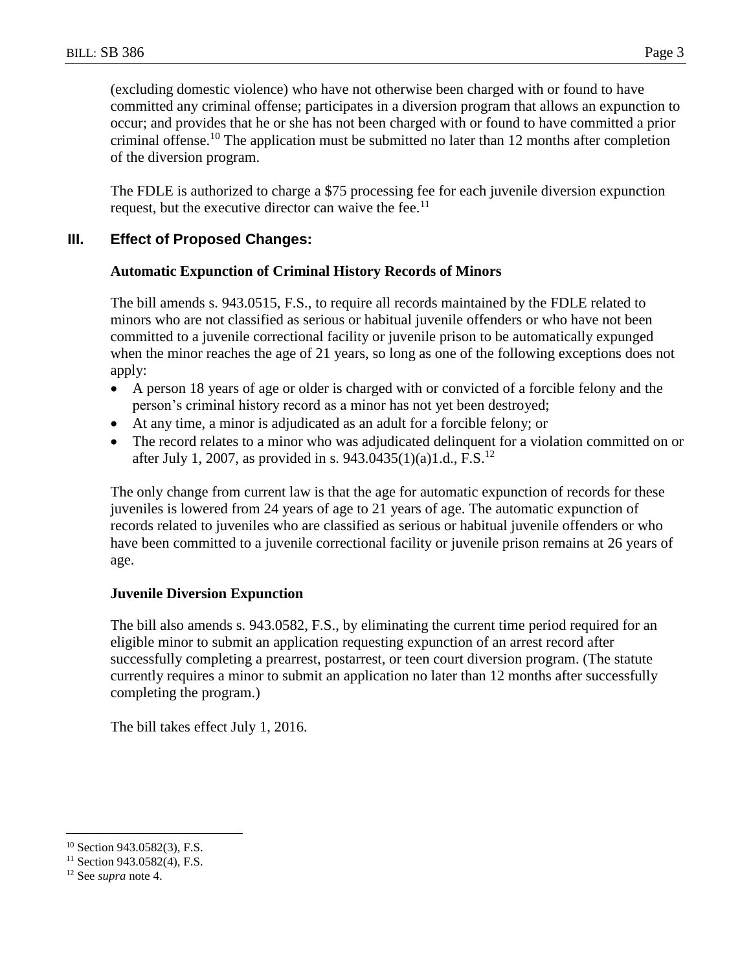(excluding domestic violence) who have not otherwise been charged with or found to have committed any criminal offense; participates in a diversion program that allows an expunction to occur; and provides that he or she has not been charged with or found to have committed a prior criminal offense.<sup>10</sup> The application must be submitted no later than 12 months after completion of the diversion program.

The FDLE is authorized to charge a \$75 processing fee for each juvenile diversion expunction request, but the executive director can waive the fee.<sup>11</sup>

## **III. Effect of Proposed Changes:**

### **Automatic Expunction of Criminal History Records of Minors**

The bill amends s. 943.0515, F.S., to require all records maintained by the FDLE related to minors who are not classified as serious or habitual juvenile offenders or who have not been committed to a juvenile correctional facility or juvenile prison to be automatically expunged when the minor reaches the age of 21 years, so long as one of the following exceptions does not apply:

- A person 18 years of age or older is charged with or convicted of a forcible felony and the person's criminal history record as a minor has not yet been destroyed;
- At any time, a minor is adjudicated as an adult for a forcible felony; or
- The record relates to a minor who was adjudicated delinquent for a violation committed on or after July 1, 2007, as provided in s. 943.0435(1)(a)1.d., F.S.<sup>12</sup>

The only change from current law is that the age for automatic expunction of records for these juveniles is lowered from 24 years of age to 21 years of age. The automatic expunction of records related to juveniles who are classified as serious or habitual juvenile offenders or who have been committed to a juvenile correctional facility or juvenile prison remains at 26 years of age.

### **Juvenile Diversion Expunction**

The bill also amends s. 943.0582, F.S., by eliminating the current time period required for an eligible minor to submit an application requesting expunction of an arrest record after successfully completing a prearrest, postarrest, or teen court diversion program. (The statute currently requires a minor to submit an application no later than 12 months after successfully completing the program.)

The bill takes effect July 1, 2016.

 $\overline{a}$ <sup>10</sup> Section 943.0582(3), F.S.

<sup>&</sup>lt;sup>11</sup> Section 943.0582(4), F.S.

<sup>12</sup> See *supra* note 4.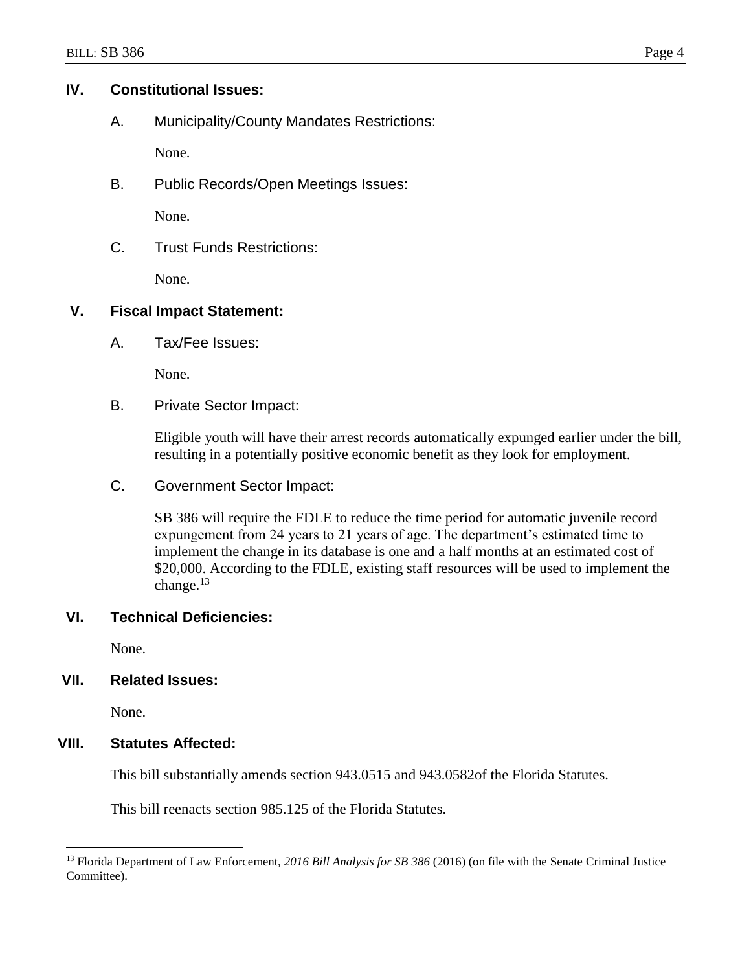## **IV. Constitutional Issues:**

A. Municipality/County Mandates Restrictions:

None.

B. Public Records/Open Meetings Issues:

None.

C. Trust Funds Restrictions:

None.

## **V. Fiscal Impact Statement:**

A. Tax/Fee Issues:

None.

B. Private Sector Impact:

Eligible youth will have their arrest records automatically expunged earlier under the bill, resulting in a potentially positive economic benefit as they look for employment.

C. Government Sector Impact:

SB 386 will require the FDLE to reduce the time period for automatic juvenile record expungement from 24 years to 21 years of age. The department's estimated time to implement the change in its database is one and a half months at an estimated cost of \$20,000. According to the FDLE, existing staff resources will be used to implement the change. $13$ 

# **VI. Technical Deficiencies:**

None.

# **VII. Related Issues:**

None.

 $\overline{a}$ 

## **VIII. Statutes Affected:**

This bill substantially amends section 943.0515 and 943.0582of the Florida Statutes.

This bill reenacts section 985.125 of the Florida Statutes.

<sup>13</sup> Florida Department of Law Enforcement, *2016 Bill Analysis for SB 386* (2016) (on file with the Senate Criminal Justice Committee).